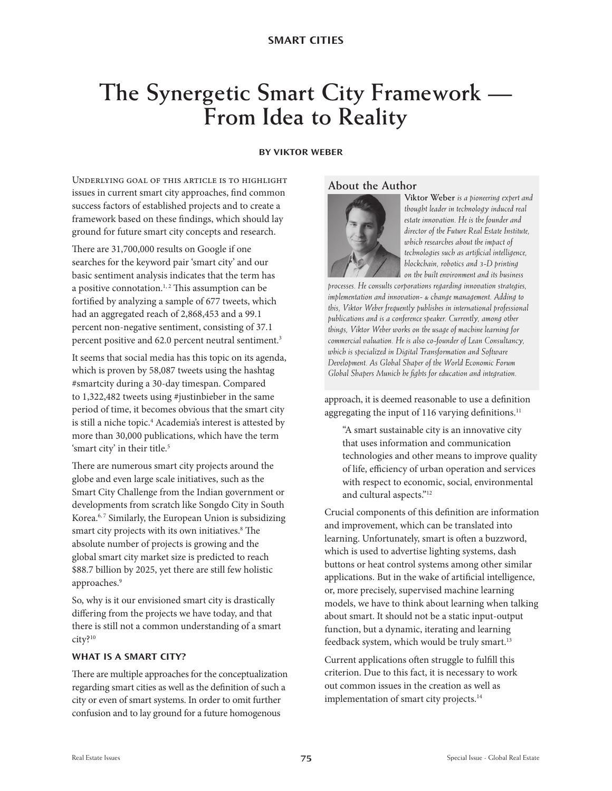#### **BY VIKTOR WEBER**

Underlying goal of this article is to highlight issues in current smart city approaches, find common success factors of established projects and to create a framework based on these findings, which should lay ground for future smart city concepts and research.

There are 31,700,000 results on Google if one searches for the keyword pair 'smart city' and our basic sentiment analysis indicates that the term has a positive connotation.<sup>1, 2</sup> This assumption can be fortified by analyzing a sample of 677 tweets, which had an aggregated reach of 2,868,453 and a 99.1 percent non-negative sentiment, consisting of 37.1 percent positive and 62.0 percent neutral sentiment.3

It seems that social media has this topic on its agenda, which is proven by 58,087 tweets using the hashtag #smartcity during a 30-day timespan. Compared to 1,322,482 tweets using #justinbieber in the same period of time, it becomes obvious that the smart city is still a niche topic.<sup>4</sup> Academia's interest is attested by more than 30,000 publications, which have the term 'smart city' in their title.<sup>5</sup>

There are numerous smart city projects around the globe and even large scale initiatives, such as the Smart City Challenge from the Indian government or developments from scratch like Songdo City in South Korea.<sup>6,7</sup> Similarly, the European Union is subsidizing smart city projects with its own initiatives.<sup>8</sup> The absolute number of projects is growing and the global smart city market size is predicted to reach \$88.7 billion by 2025, yet there are still few holistic approaches.<sup>9</sup>

So, why is it our envisioned smart city is drastically differing from the projects we have today, and that there is still not a common understanding of a smart city?10

#### **WHAT IS A SMART CITY?**

There are multiple approaches for the conceptualization regarding smart cities as well as the definition of such a city or even of smart systems. In order to omit further confusion and to lay ground for a future homogenous

#### **About the Author**



**Viktor Weber** *is a pioneering expert and thought leader in technology induced real estate innovation. He is the founder and director of the Future Real Estate Institute, which researches about the impact of technologies such as artificial intelligence, blockchain, robotics and 3-D printing on the built environment and its business* 

*processes. He consults corporations regarding innovation strategies, implementation and innovation- & change management. Adding to this, Viktor Weber frequently publishes in international professional publications and is a conference speaker. Currently, among other things, Viktor Weber works on the usage of machine learning for commercial valuation. He is also co-founder of Lean Consultancy, which is specialized in Digital Transformation and Software Development. As Global Shaper of the World Economic Forum Global Shapers Munich he fights for education and integration.*

approach, it is deemed reasonable to use a definition aggregating the input of 116 varying definitions.<sup>11</sup>

"A smart sustainable city is an innovative city that uses information and communication technologies and other means to improve quality of life, efficiency of urban operation and services with respect to economic, social, environmental and cultural aspects."<sup>12</sup>

Crucial components of this definition are information and improvement, which can be translated into learning. Unfortunately, smart is often a buzzword, which is used to advertise lighting systems, dash buttons or heat control systems among other similar applications. But in the wake of artificial intelligence, or, more precisely, supervised machine learning models, we have to think about learning when talking about smart. It should not be a static input-output function, but a dynamic, iterating and learning feedback system, which would be truly smart.13

Current applications often struggle to fulfill this criterion. Due to this fact, it is necessary to work out common issues in the creation as well as implementation of smart city projects.<sup>14</sup>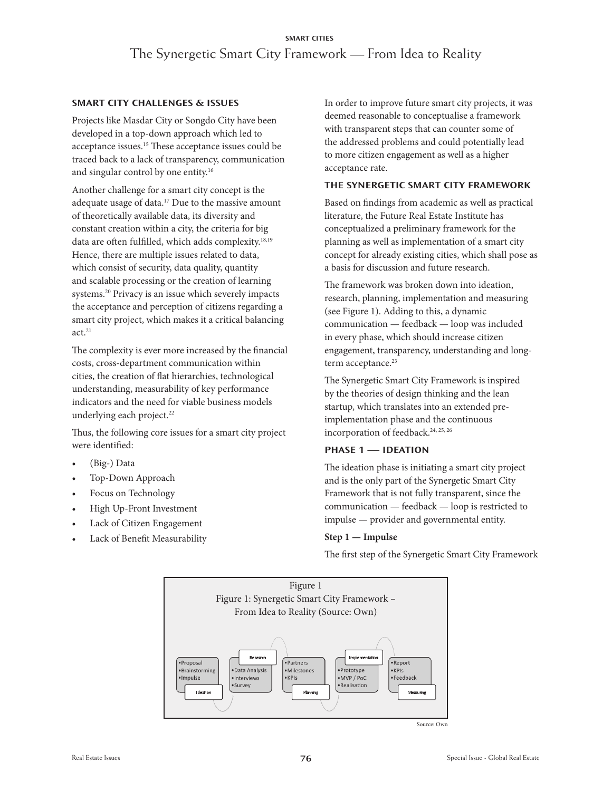#### **SMART CITY CHALLENGES & ISSUES**

Projects like Masdar City or Songdo City have been developed in a top-down approach which led to acceptance issues.15 These acceptance issues could be traced back to a lack of transparency, communication and singular control by one entity.16

Another challenge for a smart city concept is the adequate usage of data.17 Due to the massive amount of theoretically available data, its diversity and constant creation within a city, the criteria for big data are often fulfilled, which adds complexity.<sup>18,19</sup> Hence, there are multiple issues related to data, which consist of security, data quality, quantity and scalable processing or the creation of learning systems.20 Privacy is an issue which severely impacts the acceptance and perception of citizens regarding a smart city project, which makes it a critical balancing  $act.<sup>21</sup>$ 

The complexity is ever more increased by the financial costs, cross-department communication within cities, the creation of flat hierarchies, technological understanding, measurability of key performance indicators and the need for viable business models underlying each project.<sup>22</sup>

Thus, the following core issues for a smart city project were identified:

- (Big-) Data
- Top-Down Approach
- Focus on Technology
- High Up-Front Investment
- Lack of Citizen Engagement
- Lack of Benefit Measurability

In order to improve future smart city projects, it was deemed reasonable to conceptualise a framework with transparent steps that can counter some of the addressed problems and could potentially lead to more citizen engagement as well as a higher acceptance rate.

#### **THE SYNERGETIC SMART CITY FRAMEWORK**

Based on findings from academic as well as practical literature, the Future Real Estate Institute has conceptualized a preliminary framework for the planning as well as implementation of a smart city concept for already existing cities, which shall pose as a basis for discussion and future research.

The framework was broken down into ideation, research, planning, implementation and measuring (see Figure 1). Adding to this, a dynamic communication — feedback — loop was included in every phase, which should increase citizen engagement, transparency, understanding and longterm acceptance.<sup>23</sup>

The Synergetic Smart City Framework is inspired by the theories of design thinking and the lean startup, which translates into an extended preimplementation phase and the continuous incorporation of feedback.<sup>24, 25, 26</sup>

#### **PHASE 1 — IDEATION**

The ideation phase is initiating a smart city project and is the only part of the Synergetic Smart City Framework that is not fully transparent, since the communication — feedback — loop is restricted to impulse — provider and governmental entity.

#### **Step 1 — Impulse**

The first step of the Synergetic Smart City Framework



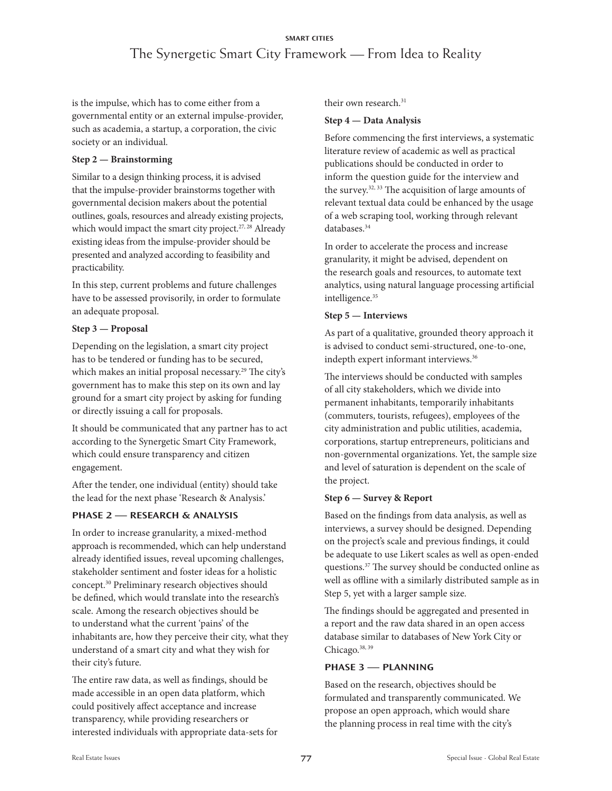is the impulse, which has to come either from a governmental entity or an external impulse-provider, such as academia, a startup, a corporation, the civic society or an individual.

#### **Step 2 — Brainstorming**

Similar to a design thinking process, it is advised that the impulse-provider brainstorms together with governmental decision makers about the potential outlines, goals, resources and already existing projects, which would impact the smart city project.<sup>27, 28</sup> Already existing ideas from the impulse-provider should be presented and analyzed according to feasibility and practicability.

In this step, current problems and future challenges have to be assessed provisorily, in order to formulate an adequate proposal.

## **Step 3 — Proposal**

Depending on the legislation, a smart city project has to be tendered or funding has to be secured, which makes an initial proposal necessary.<sup>29</sup> The city's government has to make this step on its own and lay ground for a smart city project by asking for funding or directly issuing a call for proposals.

It should be communicated that any partner has to act according to the Synergetic Smart City Framework, which could ensure transparency and citizen engagement.

After the tender, one individual (entity) should take the lead for the next phase 'Research & Analysis.'

## **PHASE 2 — RESEARCH & ANALYSIS**

In order to increase granularity, a mixed-method approach is recommended, which can help understand already identified issues, reveal upcoming challenges, stakeholder sentiment and foster ideas for a holistic concept.30 Preliminary research objectives should be defined, which would translate into the research's scale. Among the research objectives should be to understand what the current 'pains' of the inhabitants are, how they perceive their city, what they understand of a smart city and what they wish for their city's future.

The entire raw data, as well as findings, should be made accessible in an open data platform, which could positively affect acceptance and increase transparency, while providing researchers or interested individuals with appropriate data-sets for their own research.<sup>31</sup>

#### **Step 4 — Data Analysis**

Before commencing the first interviews, a systematic literature review of academic as well as practical publications should be conducted in order to inform the question guide for the interview and the survey.32, 33 The acquisition of large amounts of relevant textual data could be enhanced by the usage of a web scraping tool, working through relevant databases.34

In order to accelerate the process and increase granularity, it might be advised, dependent on the research goals and resources, to automate text analytics, using natural language processing artificial intelligence.<sup>35</sup>

## **Step 5 — Interviews**

As part of a qualitative, grounded theory approach it is advised to conduct semi-structured, one-to-one, indepth expert informant interviews.<sup>36</sup>

The interviews should be conducted with samples of all city stakeholders, which we divide into permanent inhabitants, temporarily inhabitants (commuters, tourists, refugees), employees of the city administration and public utilities, academia, corporations, startup entrepreneurs, politicians and non-governmental organizations. Yet, the sample size and level of saturation is dependent on the scale of the project.

## **Step 6 — Survey & Report**

Based on the findings from data analysis, as well as interviews, a survey should be designed. Depending on the project's scale and previous findings, it could be adequate to use Likert scales as well as open-ended questions.37 The survey should be conducted online as well as offline with a similarly distributed sample as in Step 5, yet with a larger sample size.

The findings should be aggregated and presented in a report and the raw data shared in an open access database similar to databases of New York City or Chicago.<sup>38, 39</sup>

## **PHASE 3 — PLANNING**

Based on the research, objectives should be formulated and transparently communicated. We propose an open approach, which would share the planning process in real time with the city's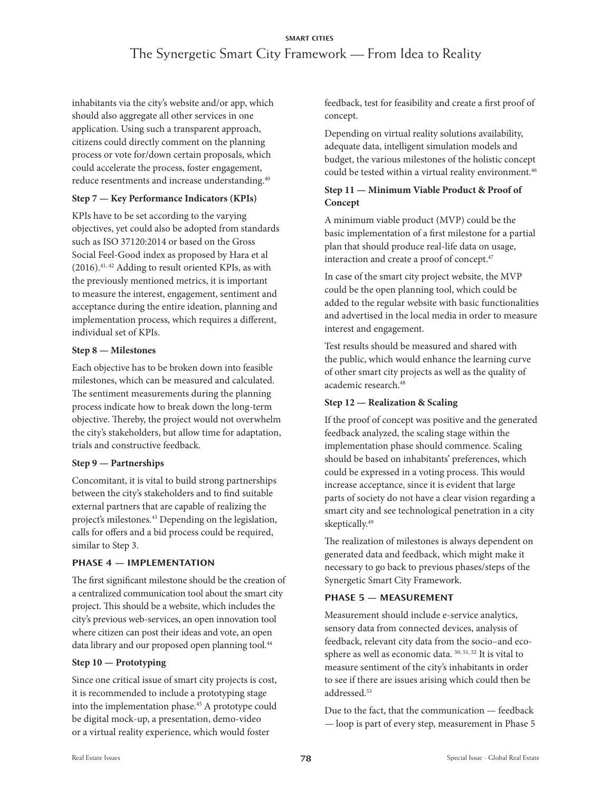inhabitants via the city's website and/or app, which should also aggregate all other services in one application. Using such a transparent approach, citizens could directly comment on the planning process or vote for/down certain proposals, which could accelerate the process, foster engagement, reduce resentments and increase understanding.<sup>40</sup>

#### **Step 7 — Key Performance Indicators (KPIs)**

KPIs have to be set according to the varying objectives, yet could also be adopted from standards such as ISO 37120:2014 or based on the Gross Social Feel-Good index as proposed by Hara et al (2016).41, 42 Adding to result oriented KPIs, as with the previously mentioned metrics, it is important to measure the interest, engagement, sentiment and acceptance during the entire ideation, planning and implementation process, which requires a different, individual set of KPIs.

#### **Step 8 — Milestones**

Each objective has to be broken down into feasible milestones, which can be measured and calculated. The sentiment measurements during the planning process indicate how to break down the long-term objective. Thereby, the project would not overwhelm the city's stakeholders, but allow time for adaptation, trials and constructive feedback.

## **Step 9 — Partnerships**

Concomitant, it is vital to build strong partnerships between the city's stakeholders and to find suitable external partners that are capable of realizing the project's milestones.<sup>43</sup> Depending on the legislation, calls for offers and a bid process could be required, similar to Step 3.

#### **PHASE 4 — IMPLEMENTATION**

The first significant milestone should be the creation of a centralized communication tool about the smart city project. This should be a website, which includes the city's previous web-services, an open innovation tool where citizen can post their ideas and vote, an open data library and our proposed open planning tool.<sup>44</sup>

## **Step 10 — Prototyping**

Since one critical issue of smart city projects is cost, it is recommended to include a prototyping stage into the implementation phase.45 A prototype could be digital mock-up, a presentation, demo-video or a virtual reality experience, which would foster

feedback, test for feasibility and create a first proof of concept.

Depending on virtual reality solutions availability, adequate data, intelligent simulation models and budget, the various milestones of the holistic concept could be tested within a virtual reality environment.<sup>46</sup>

## **Step 11 — Minimum Viable Product & Proof of Concept**

A minimum viable product (MVP) could be the basic implementation of a first milestone for a partial plan that should produce real-life data on usage, interaction and create a proof of concept.<sup>47</sup>

In case of the smart city project website, the MVP could be the open planning tool, which could be added to the regular website with basic functionalities and advertised in the local media in order to measure interest and engagement.

Test results should be measured and shared with the public, which would enhance the learning curve of other smart city projects as well as the quality of academic research.<sup>48</sup>

## **Step 12 — Realization & Scaling**

If the proof of concept was positive and the generated feedback analyzed, the scaling stage within the implementation phase should commence. Scaling should be based on inhabitants' preferences, which could be expressed in a voting process. This would increase acceptance, since it is evident that large parts of society do not have a clear vision regarding a smart city and see technological penetration in a city skeptically.49

The realization of milestones is always dependent on generated data and feedback, which might make it necessary to go back to previous phases/steps of the Synergetic Smart City Framework.

## **PHASE 5 — MEASUREMENT**

Measurement should include e-service analytics, sensory data from connected devices, analysis of feedback, relevant city data from the socio–and ecosphere as well as economic data. 50, 51, 52 It is vital to measure sentiment of the city's inhabitants in order to see if there are issues arising which could then be addressed.<sup>53</sup>

Due to the fact, that the communication — feedback — loop is part of every step, measurement in Phase 5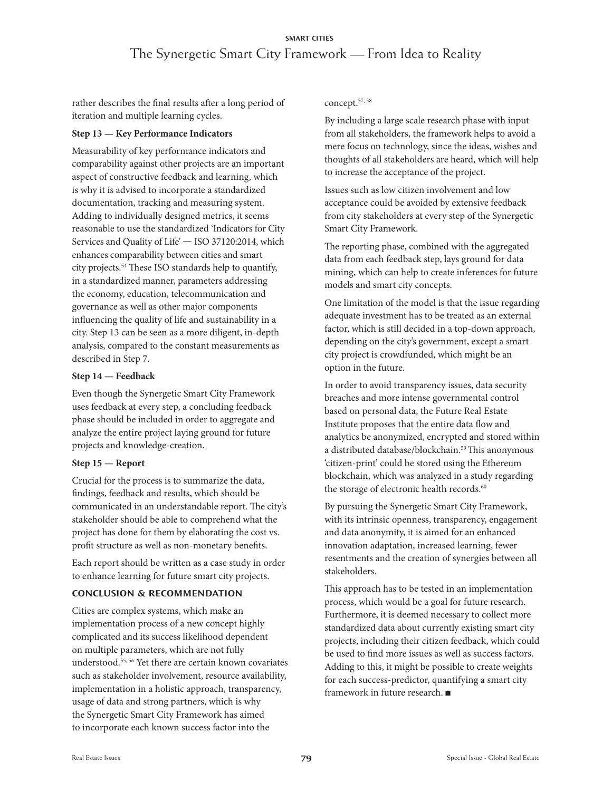rather describes the final results after a long period of iteration and multiple learning cycles.

#### **Step 13 — Key Performance Indicators**

Measurability of key performance indicators and comparability against other projects are an important aspect of constructive feedback and learning, which is why it is advised to incorporate a standardized documentation, tracking and measuring system. Adding to individually designed metrics, it seems reasonable to use the standardized 'Indicators for City Services and Quality of Life' — ISO 37120:2014, which enhances comparability between cities and smart city projects.54 These ISO standards help to quantify, in a standardized manner, parameters addressing the economy, education, telecommunication and governance as well as other major components influencing the quality of life and sustainability in a city. Step 13 can be seen as a more diligent, in-depth analysis, compared to the constant measurements as described in Step 7.

#### **Step 14 — Feedback**

Even though the Synergetic Smart City Framework uses feedback at every step, a concluding feedback phase should be included in order to aggregate and analyze the entire project laying ground for future projects and knowledge-creation.

#### **Step 15 — Report**

Crucial for the process is to summarize the data, findings, feedback and results, which should be communicated in an understandable report. The city's stakeholder should be able to comprehend what the project has done for them by elaborating the cost vs. profit structure as well as non-monetary benefits.

Each report should be written as a case study in order to enhance learning for future smart city projects.

## **CONCLUSION & RECOMMENDATION**

Cities are complex systems, which make an implementation process of a new concept highly complicated and its success likelihood dependent on multiple parameters, which are not fully understood.55, 56 Yet there are certain known covariates such as stakeholder involvement, resource availability, implementation in a holistic approach, transparency, usage of data and strong partners, which is why the Synergetic Smart City Framework has aimed to incorporate each known success factor into the

#### concept.57, 58

By including a large scale research phase with input from all stakeholders, the framework helps to avoid a mere focus on technology, since the ideas, wishes and thoughts of all stakeholders are heard, which will help to increase the acceptance of the project.

Issues such as low citizen involvement and low acceptance could be avoided by extensive feedback from city stakeholders at every step of the Synergetic Smart City Framework.

The reporting phase, combined with the aggregated data from each feedback step, lays ground for data mining, which can help to create inferences for future models and smart city concepts.

One limitation of the model is that the issue regarding adequate investment has to be treated as an external factor, which is still decided in a top-down approach, depending on the city's government, except a smart city project is crowdfunded, which might be an option in the future.

In order to avoid transparency issues, data security breaches and more intense governmental control based on personal data, the Future Real Estate Institute proposes that the entire data flow and analytics be anonymized, encrypted and stored within a distributed database/blockchain.<sup>59</sup> This anonymous 'citizen-print' could be stored using the Ethereum blockchain, which was analyzed in a study regarding the storage of electronic health records.<sup>60</sup>

By pursuing the Synergetic Smart City Framework, with its intrinsic openness, transparency, engagement and data anonymity, it is aimed for an enhanced innovation adaptation, increased learning, fewer resentments and the creation of synergies between all stakeholders.

This approach has to be tested in an implementation process, which would be a goal for future research. Furthermore, it is deemed necessary to collect more standardized data about currently existing smart city projects, including their citizen feedback, which could be used to find more issues as well as success factors. Adding to this, it might be possible to create weights for each success-predictor, quantifying a smart city framework in future research.  $\blacksquare$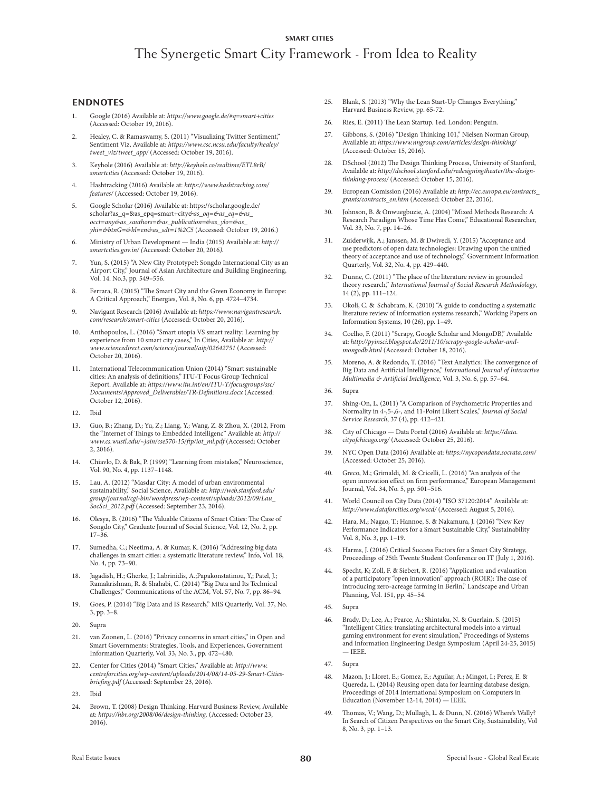#### **SMART CITIES**

# The Synergetic Smart City Framework - From Idea to Reality

#### **ENDNOTES**

- 1. Google (2016) Available at: *https://www.google.de/#q=smart+cities*  (Accessed: October 19, 2016).
- Healey, C. & Ramaswamy, S. (2011) "Visualizing Twitter Sentiment," Sentiment Viz, Available at: *https://www.csc.ncsu.edu/faculty/healey/ tweet\_viz/tweet\_app/* (Accessed: October 19, 2016).
- 3. Keyhole (2016) Available at: *http://keyhole.co/realtime/ETL8rB/ smartcities* (Accessed: October 19, 2016).
- 4. Hashtracking (2016) Available at: *https://www.hashtracking.com/ features/* (Accessed: October 19, 2016).
- 5. Google Scholar (2016) Available at: https://scholar.google.de/ scholar?as\_q=&as\_epq=smart+city*&as\_oq=&as\_eq=&as\_ occt=any&as\_sauthors=&as\_publication=&as\_ylo=&as\_ yhi=&btnG=&hl=en&as\_sdt=1%2C5* (Accessed: October 19, 2016.)
- 6. Ministry of Urban Development India (2015) Available at: *http:// smartcities.gov.in/ (*Accessed: October 20, 2016*).*
- 7. Yun, S. (2015) "A New City Prototype?: Songdo International City as an Airport City," Journal of Asian Architecture and Building Engineering, Vol. 14. No.3, pp. 549–556.
- 8. Ferrara, R. (2015) "The Smart City and the Green Economy in Europe: A Critical Approach," Energies, Vol. 8, No. 6, pp. 4724–4734.
- 9. Navigant Research (2016) Available at: *https://www.navigantresearch. com/research/smart-cities* (Accessed: October 20, 2016).
- 10. Anthopoulos, L. (2016) "Smart utopia VS smart reality: Learning by experience from 10 smart city cases," In Cities, Available at: *http:// www.sciencedirect.com/science/journal/aip/02642751* (Accessed: October 20, 2016).
- 11. International Telecommunication Union (2014) "Smart sustainable cities: An analysis of definitions," ITU-T Focus Group Technical Report. Available at: *https://www.itu.int/en/ITU-T/focusgroups/ssc/ Documents/Approved\_Deliverables/TR-Definitions.docx* (Accessed: October 12, 2016).
- 12. Ibid
- 13. Guo, B.; Zhang, D.; Yu, Z.; Liang, Y.; Wang, Z. & Zhou, X. (2012, From the "Internet of Things to Embedded Intelligenc" Available at: *http:// www.cs.wustl.edu/~jain/cse570-15/ftp/iot\_ml.pdf* (Accessed: October 2, 2016).
- 14. Chiavlo, D. & Bak, P. (1999) "Learning from mistakes," Neuroscience, Vol. 90, No. 4, pp. 1137–1148.
- 15. Lau, A. (2012) "Masdar City: A model of urban environmental sustainability," Social Science, Available at: *http://web.stanford.edu/ group/journal/cgi-bin/wordpress/wp-content/uploads/2012/09/Lau\_ SocSci\_2012.pdf* (Accessed: September 23, 2016).
- 16. Olesya, B. (2016) "The Valuable Citizens of Smart Cities: The Case of Songdo City," Graduate Journal of Social Science, Vol. 12, No. 2, pp. 17–36.
- 17. Sumedha, C.; Neetima, A. & Kumar, K. (2016) "Addressing big data challenges in smart cities: a systematic literature review," Info, Vol. 18, No. 4, pp. 73–90.
- 18. Jagadish, H.; Gherke, J.; Labrinidis, A.;Papakonstatinou, Y,; Patel, J.; Ramakrishnan, R. & Shahabi, C. (2014) "Big Data and Its Technical Challenges," Communications of the ACM, Vol. 57, No. 7, pp. 86–94.
- 19. Goes, P. (2014) "Big Data and IS Research," MIS Quarterly, Vol. 37, No. 3, pp. 3–8.
- 20. Supra
- van Zoonen, L. (2016) "Privacy concerns in smart cities," in Open and Smart Governments: Strategies, Tools, and Experiences, Government Information Quarterly, Vol. 33, No. 3., pp. 472–480.
- 22. Center for Cities (2014) "Smart Cities," Available at: *http://www. centreforcities.org/wp-content/uploads/2014/08/14-05-29-Smart-Citiesbriefing.pdf* (Accessed: September 23, 2016).
- 23. Ibid
- 24. Brown, T. (2008) Design Thinking, Harvard Business Review, Available at: *https://hbr.org/2008/06/design-thinking,* (Accessed: October 23, 2016).
- 25. Blank, S. (2013) "Why the Lean Start-Up Changes Everything," Harvard Business Review, pp. 65-72.
- 26. Ries, E. (2011) The Lean Startup. 1ed. London: Penguin.
- 27. Gibbons, S. (2016) "Design Thinking 101," Nielsen Norman Group, Available at: *https://www.nngroup.com/articles/design-thinking/*  (Accessed: October 15, 2016).
- 28. DSchool (2012) The Design Thinking Process, University of Stanford, Available at: *http://dschool.stanford.edu/redesigningtheater/the-designthinking-process/* (Accessed: October 15, 2016).
- 29. European Comission (2016) Available at: *http://ec.europa.eu/contracts\_ grants/contracts\_en.htm* (Accessed: October 22, 2016).
- 30. Johnson, B. & Onwuegbuzie, A. (2004) "Mixed Methods Research: A Research Paradigm Whose Time Has Come," Educational Researcher, Vol. 33, No. 7, pp. 14–26.
- 31. Zuiderwijk, A.; Janssen, M. & Dwivedi, Y. (2015) "Acceptance and use predictors of open data technologies: Drawing upon the unified theory of acceptance and use of technology," Government Information Quarterly, Vol. 32, No. 4, pp. 429–440.
- 32. Dunne, C. (2011) "The place of the literature review in grounded theory research," *International Journal of Social Research Methodology*, 14 (2), pp. 111–124.
- 33. Okoli, C. & Schabram, K. (2010) "A guide to conducting a systematic literature review of information systems research," Working Papers on Information Systems, 10 (26), pp. 1–49.
- 34. Coelho, F. (2011) "Scrapy, Google Scholar and MongoDB," Available at: *http://pyinsci.blogspot.de/2011/10/scrapy-google-scholar-andmongodb.html* (Accessed: October 18, 2016).
- 35. Moreno, A. & Redondo, T. (2016) "Text Analytics: The convergence of Big Data and Artificial Intelligence," *International Journal of Interactive Multimedia & Artificial Intelligence*, Vol. 3, No. 6, pp. 57–64.

#### 36. Supra

- 37. Shing-On, L. (2011) "A Comparison of Psychometric Properties and Normality in 4-,5-,6-, and 11-Point Likert Scales," *Journal of Social Service Research*, 37 (4), pp. 412–421.
- 38. City of Chicago Data Portal (2016) Available at: *https://data. cityofchicago.org/* (Accessed: October 25, 2016).
- 39. NYC Open Data (2016) Available at: *https://nycopendata.socrata.com/*  (Accessed: October 25, 2016).
- 40. Greco, M.; Grimaldi, M. & Cricelli, L. (2016) "An analysis of the open innovation effect on firm performance," European Management Journal, Vol. 34, No. 5, pp. 501–516.
- 41. World Council on City Data (2014) "ISO 37120:2014" Available at: *http://www.dataforcities.org/wccd/* (Accessed: August 5, 2016).
- 42. Hara, M.; Nagao, T.; Hannoe, S. & Nakamura, J. (2016) "New Key Performance Indicators for a Smart Sustainable City," Sustainability Vol. 8, No. 3, pp. 1–19.
- 43. Harms, J. (2016) Critical Success Factors for a Smart City Strategy, Proceedings of 25th Twente Student Conference on IT (July 1, 2016).
- 44. Specht, K; Zoll, F. & Siebert, R. (2016) "Application and evaluation of a participatory "open innovation" approach (ROIR): The case of introducing zero-acreage farming in Berlin," Landscape and Urban Planning, Vol. 151, pp. 45–54.
- 45. Supra
- Brady, D.; Lee, A.; Pearce, A.; Shintaku, N. & Guerlain, S. (2015) "Intelligent Cities: translating architectural models into a virtual gaming environment for event simulation," Proceedings of Systems and Information Engineering Design Symposium (April 24-25, 2015)  $=$  IEEE.
- 47. Supra
- 48. Mazon, J.; Lloret, E.; Gomez, E.; Aguilar, A.; Mingot, I.; Perez, E. & Quereda, L. (2014) Reusing open data for learning database design, Proceedings of 2014 International Symposium on Computers in Education (November 12-14, 2014) — IEEE.
- 49. Thomas, V.; Wang, D.; Mullagh, L. & Dunn, N. (2016) Where's Wally? In Search of Citizen Perspectives on the Smart City, Sustainability, Vol 8, No. 3, pp. 1–13.